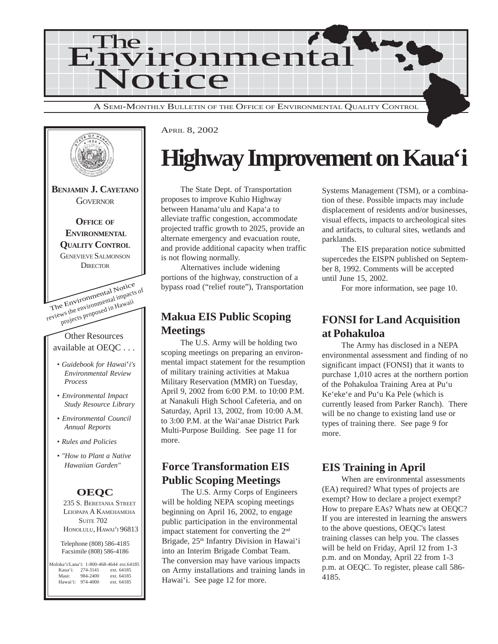



## **Highway Improvement on Kaua'i**

The State Dept. of Transportation proposes to improve Kuhio Highway between Hanama'ulu and Kapa'a to alleviate traffic congestion, accommodate projected traffic growth to 2025, provide an alternate emergency and evacuation route, and provide additional capacity when traffic is not flowing normally.

Alternatives include widening portions of the highway, construction of a bypass road ("relief route"), Transportation

### **Makua EIS Public Scoping Meetings**

The U.S. Army will be holding two scoping meetings on preparing an environmental impact statement for the resumption of military training activities at Makua Military Reservation (MMR) on Tuesday, April 9, 2002 from 6:00 P.M. to 10:00 P.M. at Nanakuli High School Cafeteria, and on Saturday, April 13, 2002, from 10:00 A.M. to 3:00 P.M. at the Wai'anae District Park Multi-Purpose Building. See page 11 for more.

## **Force Transformation EIS Public Scoping Meetings**

The U.S. Army Corps of Engineers will be holding NEPA scoping meetings beginning on April 16, 2002, to engage public participation in the environmental impact statement for converting the 2nd Brigade, 25<sup>th</sup> Infantry Division in Hawai'i into an Interim Brigade Combat Team. The conversion may have various impacts on Army installations and training lands in Hawai'i. See page 12 for more.

Systems Management (TSM), or a combination of these. Possible impacts may include displacement of residents and/or businesses, visual effects, impacts to archeological sites and artifacts, to cultural sites, wetlands and parklands.

The EIS preparation notice submitted supercedes the EISPN published on September 8, 1992. Comments will be accepted until June 15, 2002.

For more information, see page 10.

### **FONSI for Land Acquisition at Pohakuloa**

The Army has disclosed in a NEPA environmental assessment and finding of no significant impact (FONSI) that it wants to purchase 1,010 acres at the northern portion of the Pohakuloa Training Area at Pu'u Ke'eke'e and Pu'u Ka Pele (which is currently leased from Parker Ranch). There will be no change to existing land use or types of training there. See page 9 for more.

### **EIS Training in April**

When are environmental assessments (EA) required? What types of projects are exempt? How to declare a project exempt? How to prepare EAs? Whats new at OEQC? If you are interested in learning the answers to the above questions, OEQC's latest training classes can help you. The classes will be held on Friday, April 12 from 1-3 p.m. and on Monday, April 22 from 1-3 p.m. at OEQC. To register, please call 586- 4185.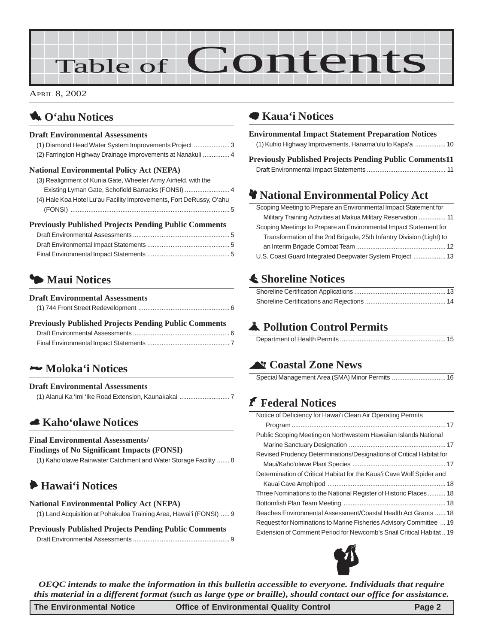# Table of Contents

APRIL 8, 2002

## 1 **O'ahu Notices**

#### **Draft Environmental Assessments**

[\(1\) Diamond Head Water System Improvements Project](#page-2-0) .................... 3 [\(2\) Farrington Highway Drainage Improvements at Nanakuli](#page-2-0) ............... 4

#### **National Environmental Policy Act (NEPA)**

| (3) Realignment of Kunia Gate, Wheeler Army Airfield, with the      |
|---------------------------------------------------------------------|
| Existing Lyman Gate, Schofield Barracks (FONSI)  4                  |
| (4) Hale Koa Hotel Lu'au Facility Improvements, Fort DeRussy, O'ahu |
|                                                                     |

#### **Previously Published Projects Pending Public Comments**

## 3 **Maui Notices**

#### **Draft Environmental Assessments**

| <b>Previously Published Projects Pending Public Comments</b> |  |
|--------------------------------------------------------------|--|
|                                                              |  |
|                                                              |  |

## 2 **Moloka'i Notices**

#### **Draft Environmental Assessments** [\(1\) Alanui Ka 'Imi 'Ike Road Extension, Kaunakakai](#page-6-0) ............................ 7

## 5 **Kaho'olawe Notices**

#### **Final Environmental Assessments/**

**Findings of No Significant Impacts (FONSI)**

[\(1\) Kaho'olawe Rainwater Catchment and Water Storage Facility](#page-7-0) ....... 8

## 6 **Hawai'i Notices**

#### **National Environmental Policy Act (NEPA)**

| <b>Previously Published Projects Pending Public Comments</b> |  |
|--------------------------------------------------------------|--|
|                                                              |  |

### 7 **Kaua'i Notices**

#### **Environmental Impact Statement Preparation Notices** [\(1\) Kuhio Highway Improvements, Hanama'ulu to Kapa'a](#page-9-0) ................. 10 **[Previously Published Projects Pending Public Comments11](#page-9-0)** [Draft Environmental Impact Statements](#page-10-0) ............................................ 11

## **We National Environmental Policy Act**

| Scoping Meeting to Prepare an Environmental Impact Statement for     |  |
|----------------------------------------------------------------------|--|
| Military Training Activities at Makua Military Reservation  11       |  |
| Scoping Meetings to Prepare an Environmental Impact Statement for    |  |
| Transformation of the 2nd Brigade, 25th Infantry Division (Light) to |  |
|                                                                      |  |
| U.S. Coast Guard Integrated Deepwater System Project  13             |  |

## s **[Shoreline Notices](#page-12-0)**

## V **Pollution Control Permits**

|--|

## ^ **Coastal Zone News**

## J **[Federal Notices](#page-16-0)**

| Notice of Deficiency for Hawai'i Clean Air Operating Permits          |
|-----------------------------------------------------------------------|
|                                                                       |
| Public Scoping Meeting on Northwestern Hawaiian Islands National      |
|                                                                       |
| Revised Prudency Determinations/Designations of Critical Habitat for  |
|                                                                       |
| Determination of Critical Habitat for the Kaua'i Cave Wolf Spider and |
|                                                                       |
| Three Nominations to the National Register of Historic Places 18      |
|                                                                       |
| Beaches Environmental Assessment/Coastal Health Act Grants  18        |
| Request for Nominations to Marine Fisheries Advisory Committee  19    |
| Extension of Comment Period for Newcomb's Snail Critical Habitat 19   |



*OEQC intends to make the information in this bulletin accessible to everyone. Individuals that require this material in a different format (such as large type or braille), should contact our office for assistance.*

**The Environmental Notice Office of Environmental Quality Control Page 2**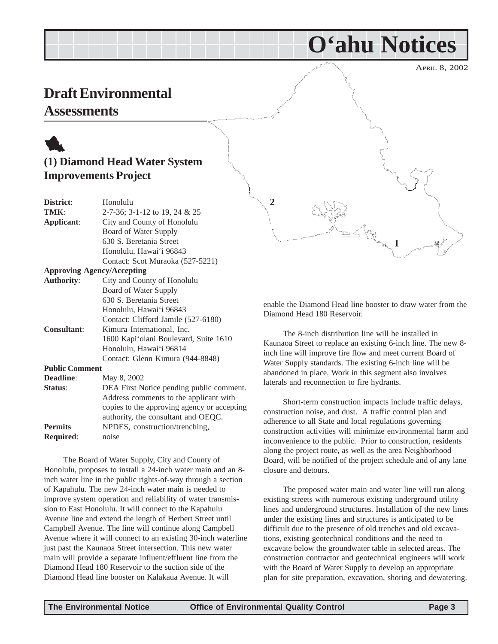## <span id="page-2-0"></span>**Draft Environmental**

## **Assessments**

## 1 **(1) Diamond Head Water System Improvements Project**

| District:             | Honolulu                                    |
|-----------------------|---------------------------------------------|
| TMK:                  | 2-7-36; 3-1-12 to 19, 24 & 25               |
| Applicant:            | City and County of Honolulu                 |
|                       | Board of Water Supply                       |
|                       | 630 S. Beretania Street                     |
|                       | Honolulu, Hawai'i 96843                     |
|                       | Contact: Scot Muraoka (527-5221)            |
|                       | <b>Approving Agency/Accepting</b>           |
| <b>Authority:</b>     | City and County of Honolulu                 |
|                       | Board of Water Supply                       |
|                       | 630 S. Beretania Street                     |
|                       | Honolulu, Hawai'i 96843                     |
|                       | Contact: Clifford Jamile (527-6180)         |
| <b>Consultant:</b>    | Kimura International, Inc.                  |
|                       | 1600 Kapi'olani Boulevard, Suite 1610       |
|                       | Honolulu, Hawai'i 96814                     |
|                       | Contact: Glenn Kimura (944-8848)            |
| <b>Public Comment</b> |                                             |
| Deadline:             | May 8, 2002                                 |
| Status:               | DEA First Notice pending public comment.    |
|                       | Address comments to the applicant with      |
|                       | copies to the approving agency or accepting |
|                       | authority, the consultant and OEQC.         |
| <b>Permits</b>        | NPDES, construction/trenching,              |
| <b>Required:</b>      | noise                                       |

The Board of Water Supply, City and County of Honolulu, proposes to install a 24-inch water main and an 8 inch water line in the public rights-of-way through a section of Kapahulu. The new 24-inch water main is needed to improve system operation and reliability of water transmission to East Honolulu. It will connect to the Kapahulu Avenue line and extend the length of Herbert Street until Campbell Avenue. The line will continue along Campbell Avenue where it will connect to an existing 30-inch waterline just past the Kaunaoa Street intersection. This new water main will provide a separate influent/effluent line from the Diamond Head 180 Reservoir to the suction side of the Diamond Head line booster on Kalakaua Avenue. It will



**O'ahu Notices**

enable the Diamond Head line booster to draw water from the Diamond Head 180 Reservoir.

The 8-inch distribution line will be installed in Kaunaoa Street to replace an existing 6-inch line. The new 8 inch line will improve fire flow and meet current Board of Water Supply standards. The existing 6-inch line will be abandoned in place. Work in this segment also involves laterals and reconnection to fire hydrants.

Short-term construction impacts include traffic delays, construction noise, and dust. A traffic control plan and adherence to all State and local regulations governing construction activities will minimize environmental harm and inconvenience to the public. Prior to construction, residents along the project route, as well as the area Neighborhood Board, will be notified of the project schedule and of any lane closure and detours.

The proposed water main and water line will run along existing streets with numerous existing underground utility lines and underground structures. Installation of the new lines under the existing lines and structures is anticipated to be difficult due to the presence of old trenches and old excavations, existing geotechnical conditions and the need to excavate below the groundwater table in selected areas. The construction contractor and geotechnical engineers will work with the Board of Water Supply to develop an appropriate plan for site preparation, excavation, shoring and dewatering.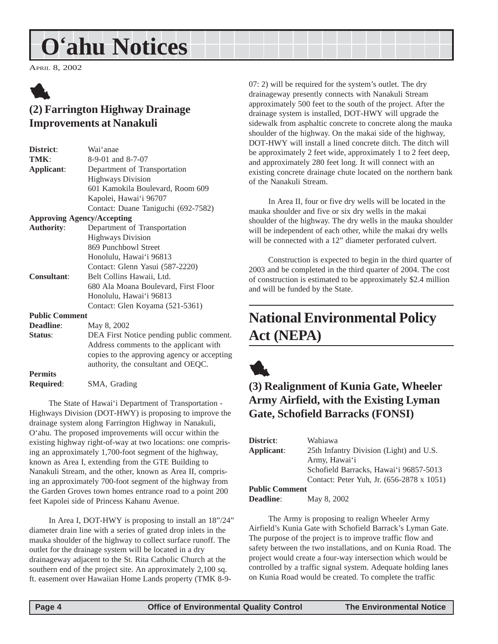## <span id="page-3-0"></span>**O'ahu Notices**

APRIL 8, 2002



## **(2) Farrington Highway Drainage Improvements at Nanakuli**

| District:             | Wai'anae                                    |
|-----------------------|---------------------------------------------|
| TMK:                  | 8-9-01 and 8-7-07                           |
| Applicant:            | Department of Transportation                |
|                       | <b>Highways Division</b>                    |
|                       | 601 Kamokila Boulevard, Room 609            |
|                       | Kapolei, Hawai'i 96707                      |
|                       | Contact: Duane Taniguchi (692-7582)         |
|                       | <b>Approving Agency/Accepting</b>           |
| <b>Authority:</b>     | Department of Transportation                |
|                       | <b>Highways Division</b>                    |
|                       | 869 Punchbowl Street                        |
|                       | Honolulu, Hawai'i 96813                     |
|                       | Contact: Glenn Yasui (587-2220)             |
| <b>Consultant:</b>    | Belt Collins Hawaii, Ltd.                   |
|                       | 680 Ala Moana Boulevard, First Floor        |
|                       | Honolulu, Hawai'i 96813                     |
|                       | Contact: Glen Koyama (521-5361)             |
| <b>Public Comment</b> |                                             |
| <b>Deadline:</b>      | May 8, 2002                                 |
| Status:               | DEA First Notice pending public comment.    |
|                       | Address comments to the applicant with      |
|                       | copies to the approving agency or accepting |
|                       | authority, the consultant and OEQC.         |
| <b>Permits</b>        |                                             |

**Required**: SMA, Grading

The State of Hawai'i Department of Transportation - Highways Division (DOT-HWY) is proposing to improve the drainage system along Farrington Highway in Nanakuli, O'ahu. The proposed improvements will occur within the existing highway right-of-way at two locations: one comprising an approximately 1,700-foot segment of the highway, known as Area I, extending from the GTE Building to Nanakuli Stream, and the other, known as Area II, comprising an approximately 700-foot segment of the highway from the Garden Groves town homes entrance road to a point 200 feet Kapolei side of Princess Kahanu Avenue.

In Area I, DOT-HWY is proposing to install an 18"/24" diameter drain line with a series of grated drop inlets in the mauka shoulder of the highway to collect surface runoff. The outlet for the drainage system will be located in a dry drainageway adjacent to the St. Rita Catholic Church at the southern end of the project site. An approximately 2,100 sq. ft. easement over Hawaiian Home Lands property (TMK 8-907: 2) will be required for the system's outlet. The dry drainageway presently connects with Nanakuli Stream approximately 500 feet to the south of the project. After the drainage system is installed, DOT-HWY will upgrade the sidewalk from asphaltic concrete to concrete along the mauka shoulder of the highway. On the makai side of the highway, DOT-HWY will install a lined concrete ditch. The ditch will be approximately 2 feet wide, approximately 1 to 2 feet deep, and approximately 280 feet long. It will connect with an existing concrete drainage chute located on the northern bank of the Nanakuli Stream.

In Area II, four or five dry wells will be located in the mauka shoulder and five or six dry wells in the makai shoulder of the highway. The dry wells in the mauka shoulder will be independent of each other, while the makai dry wells will be connected with a 12" diameter perforated culvert.

Construction is expected to begin in the third quarter of 2003 and be completed in the third quarter of 2004. The cost of construction is estimated to be approximately \$2.4 million and will be funded by the State.

## **National Environmental Policy Act (NEPA)**



## **(3) Realignment of Kunia Gate, Wheeler Army Airfield, with the Existing Lyman Gate, Schofield Barracks (FONSI)**

| District:             | Wahiawa                                   |
|-----------------------|-------------------------------------------|
| Applicant:            | 25th Infantry Division (Light) and U.S.   |
|                       | Army, Hawai'i                             |
|                       | Schofield Barracks, Hawai'i 96857-5013    |
|                       | Contact: Peter Yuh, Jr. (656-2878 x 1051) |
| <b>Public Comment</b> |                                           |

**Deadline**: May 8, 2002

The Army is proposing to realign Wheeler Army Airfield's Kunia Gate with Schofield Barrack's Lyman Gate. The purpose of the project is to improve traffic flow and safety between the two installations, and on Kunia Road. The project would create a four-way intersection which would be controlled by a traffic signal system. Adequate holding lanes on Kunia Road would be created. To complete the traffic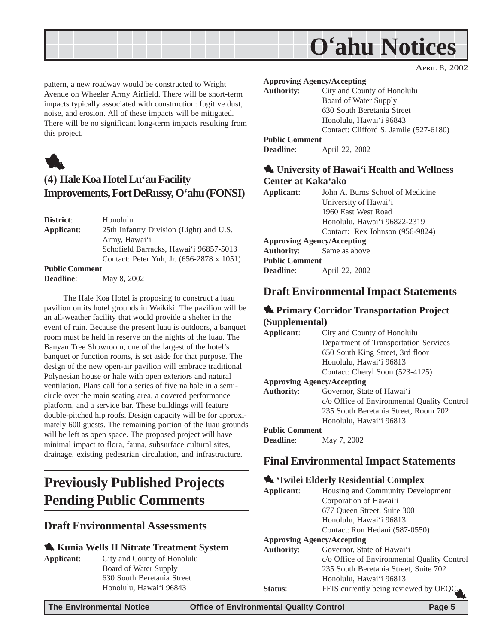<span id="page-4-0"></span>

pattern, a new roadway would be constructed to Wright Avenue on Wheeler Army Airfield. There will be short-term impacts typically associated with construction: fugitive dust, noise, and erosion. All of these impacts will be mitigated. There will be no significant long-term impacts resulting from this project.



## **(4) Hale Koa Hotel Lu'au Facility Improvements, Fort DeRussy, O'ahu (FONSI)**

| District:  | Honolulu                                  |
|------------|-------------------------------------------|
| Applicant: | 25th Infantry Division (Light) and U.S.   |
|            | Army, Hawai'i                             |
|            | Schofield Barracks, Hawai'i 96857-5013    |
|            | Contact: Peter Yuh, Jr. (656-2878 x 1051) |
|            |                                           |

**Public Comment**

**Deadline**: May 8, 2002

The Hale Koa Hotel is proposing to construct a luau pavilion on its hotel grounds in Waikiki. The pavilion will be an all-weather facility that would provide a shelter in the event of rain. Because the present luau is outdoors, a banquet room must be held in reserve on the nights of the luau. The Banyan Tree Showroom, one of the largest of the hotel's banquet or function rooms, is set aside for that purpose. The design of the new open-air pavilion will embrace traditional Polynesian house or hale with open exteriors and natural ventilation. Plans call for a series of five na hale in a semicircle over the main seating area, a covered performance platform, and a service bar. These buildings will feature double-pitched hip roofs. Design capacity will be for approximately 600 guests. The remaining portion of the luau grounds will be left as open space. The proposed project will have minimal impact to flora, fauna, subsurface cultural sites, drainage, existing pedestrian circulation, and infrastructure.

## **Previously Published Projects Pending Public Comments**

#### **Draft Environmental Assessments**

#### 1 **Kunia Wells II Nitrate Treatment System**

- 
- **Applicant**: City and County of Honolulu Board of Water Supply 630 South Beretania Street Honolulu, Hawai'i 96843

**Approving Agency/Accepting**

| <b>Authority:</b>     | City and County of Honolulu            |
|-----------------------|----------------------------------------|
|                       | Board of Water Supply                  |
|                       | 630 South Beretania Street             |
|                       | Honolulu, Hawai'i 96843                |
|                       | Contact: Clifford S. Jamile (527-6180) |
| <b>Public Comment</b> |                                        |
| <b>Deadline:</b>      | April 22, 2002                         |

APRIL 8, 2002

#### 1 **University of Hawai'i Health and Wellness Center at Kaka'ako**

| Applicant:                        | John A. Burns School of Medicine |  |
|-----------------------------------|----------------------------------|--|
|                                   | University of Hawai'i            |  |
|                                   | 1960 East West Road              |  |
|                                   | Honolulu, Hawai'i 96822-2319     |  |
|                                   | Contact: Rex Johnson (956-9824)  |  |
| <b>Approving Agency/Accepting</b> |                                  |  |
| <b>Authority:</b> Same as above   |                                  |  |
| <b>Public Comment</b>             |                                  |  |
| Deadline:                         | April 22, 2002                   |  |

#### **Draft Environmental Impact Statements**

#### **1. Primary Corridor Transportation Project (Supplemental)**

| Applicant:            | City and County of Honolulu                 |
|-----------------------|---------------------------------------------|
|                       | Department of Transportation Services       |
|                       | 650 South King Street, 3rd floor            |
|                       | Honolulu, Hawai'i 96813                     |
|                       | Contact: Cheryl Soon (523-4125)             |
|                       | <b>Approving Agency/Accepting</b>           |
| <b>Authority:</b>     | Governor, State of Hawai'i                  |
|                       | c/o Office of Environmental Quality Control |
|                       | 235 South Beretania Street, Room 702        |
|                       | Honolulu, Hawai'i 96813                     |
| <b>Public Comment</b> |                                             |
| <b>Deadline:</b>      | May 7, 2002                                 |

## **Final Environmental Impact Statements**

#### 1 **'Iwilei Elderly Residential Complex**

| Applicant:                        | Housing and Community Development           |  |
|-----------------------------------|---------------------------------------------|--|
|                                   | Corporation of Hawai'i                      |  |
|                                   | 677 Oueen Street, Suite 300                 |  |
|                                   | Honolulu, Hawai'i 96813                     |  |
|                                   | Contact: Ron Hedani (587-0550)              |  |
| <b>Approving Agency/Accepting</b> |                                             |  |
| <b>Authority:</b>                 | Governor, State of Hawai'i                  |  |
|                                   | c/o Office of Environmental Quality Control |  |
|                                   | 235 South Beretania Street, Suite 702       |  |
|                                   | Honolulu, Hawai'i 96813                     |  |
| <b>Status:</b>                    | FEIS currently being reviewed by OEQC.      |  |
|                                   |                                             |  |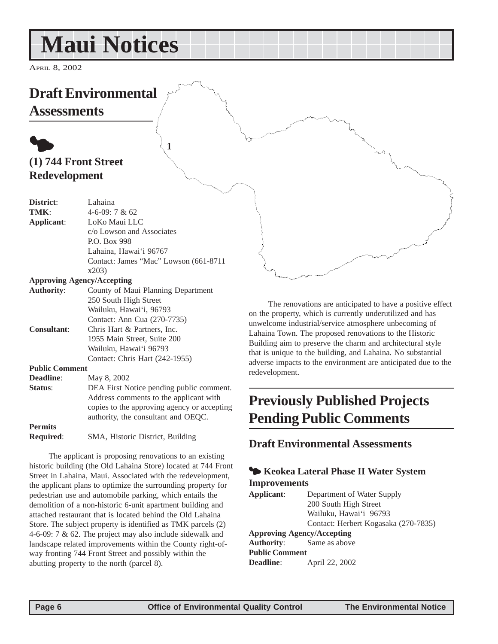## <span id="page-5-0"></span>**Maui Notices**

APRIL 8, 2002

## **Draft Environmental**

**Assessments**

## $\bullet$ **(1) 744 Front Street Redevelopment**

| District:             | Lahaina                                     |
|-----------------------|---------------------------------------------|
| TMK:                  | $4-6-09:7 & 62$                             |
| Applicant:            | LoKo Maui LLC                               |
|                       | c/o Lowson and Associates                   |
|                       | P.O. Box 998                                |
|                       | Lahaina, Hawai'i 96767                      |
|                       | Contact: James "Mac" Lowson (661-8711       |
|                       | x203                                        |
|                       | <b>Approving Agency/Accepting</b>           |
| <b>Authority:</b>     | County of Maui Planning Department          |
|                       | 250 South High Street                       |
|                       | Wailuku, Hawai'i, 96793                     |
|                       | Contact: Ann Cua (270-7735)                 |
| <b>Consultant:</b>    | Chris Hart & Partners, Inc.                 |
|                       | 1955 Main Street, Suite 200                 |
|                       | Wailuku, Hawai'i 96793                      |
|                       | Contact: Chris Hart (242-1955)              |
| <b>Public Comment</b> |                                             |
| Deadline:             | May 8, 2002                                 |
| Status:               | DEA First Notice pending public comment.    |
|                       | Address comments to the applicant with      |
|                       | copies to the approving agency or accepting |
|                       | authority, the consultant and OEQC.         |
| <b>Permits</b>        |                                             |

**1**

**Required**: SMA, Historic District, Building

The applicant is proposing renovations to an existing historic building (the Old Lahaina Store) located at 744 Front Street in Lahaina, Maui. Associated with the redevelopment, the applicant plans to optimize the surrounding property for pedestrian use and automobile parking, which entails the demolition of a non-historic 6-unit apartment building and attached restaurant that is located behind the Old Lahaina Store. The subject property is identified as TMK parcels (2) 4-6-09: 7 & 62. The project may also include sidewalk and landscape related improvements within the County right-ofway fronting 744 Front Street and possibly within the abutting property to the north (parcel 8).

The renovations are anticipated to have a positive effect on the property, which is currently underutilized and has unwelcome industrial/service atmosphere unbecoming of Lahaina Town. The proposed renovations to the Historic Building aim to preserve the charm and architectural style that is unique to the building, and Lahaina. No substantial adverse impacts to the environment are anticipated due to the redevelopment.

## **Previously Published Projects Pending Public Comments**

**Draft Environmental Assessments**

### 3 **Keokea Lateral Phase II Water System Improvements**

**Applicant**: Department of Water Supply 200 South High Street Wailuku, Hawai'i 96793 Contact: Herbert Kogasaka (270-7835) **Approving Agency/Accepting Authority**: Same as above

**Public Comment Deadline**: April 22, 2002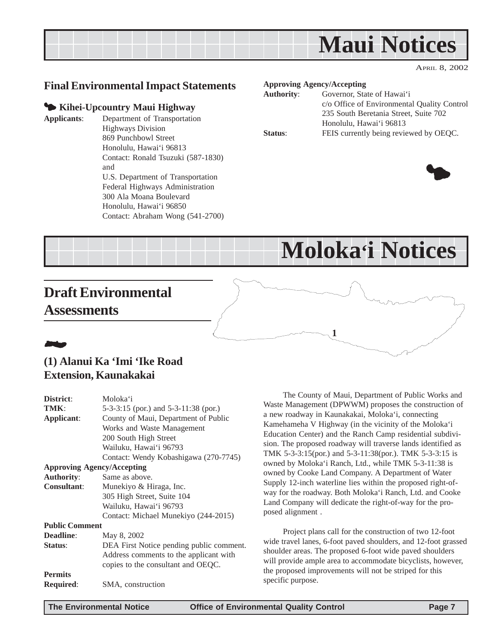<span id="page-6-0"></span>

### **Final Environmental Impact Statements**

#### 3 **Kihei-Upcountry Maui Highway**

**Applicants**: Department of Transportation Highways Division 869 Punchbowl Street Honolulu, Hawai'i 96813 Contact: Ronald Tsuzuki (587-1830) and U.S. Department of Transportation Federal Highways Administration 300 Ala Moana Boulevard Honolulu, Hawai'i 96850 Contact: Abraham Wong (541-2700)

| <b>Approving Agency/Accepting</b> |                                             |
|-----------------------------------|---------------------------------------------|
| <b>Authority:</b>                 | Governor, State of Hawai'i                  |
|                                   | c/o Office of Environmental Quality Control |
|                                   | 235 South Beretania Street, Suite 702       |
|                                   | Honolulu, Hawai'i 96813                     |
| Status:                           | FEIS currently being reviewed by OEQC.      |



**Moloka'i Notices**

**1**

## **Draft Environmental Assessments**

## 21**.**

#### **(1) Alanui Ka 'Imi 'Ike Road Extension, Kaunakakai**

| District:                         | Moloka'i                                 |  |
|-----------------------------------|------------------------------------------|--|
| TMK:                              | 5-3-3:15 (por.) and 5-3-11:38 (por.)     |  |
| Applicant:                        | County of Maui, Department of Public     |  |
|                                   | Works and Waste Management               |  |
|                                   | 200 South High Street                    |  |
|                                   | Wailuku, Hawai'i 96793                   |  |
|                                   | Contact: Wendy Kobashigawa (270-7745)    |  |
| <b>Approving Agency/Accepting</b> |                                          |  |
| <b>Authority:</b>                 | Same as above.                           |  |
| Consultant:                       | Munekiyo & Hiraga, Inc.                  |  |
|                                   | 305 High Street, Suite 104               |  |
|                                   | Wailuku, Hawai'i 96793                   |  |
|                                   | Contact: Michael Munekiyo (244-2015)     |  |
| <b>Public Comment</b>             |                                          |  |
| Deadline:                         | May 8, 2002                              |  |
| Status:                           | DEA First Notice pending public comment. |  |
|                                   | Address comments to the applicant with   |  |
|                                   | copies to the consultant and OEQC.       |  |
| <b>Permits</b>                    |                                          |  |
| <b>Required:</b>                  | SMA, construction                        |  |
|                                   |                                          |  |

The County of Maui, Department of Public Works and Waste Management (DPWWM) proposes the construction of a new roadway in Kaunakakai, Moloka'i, connecting Kamehameha V Highway (in the vicinity of the Moloka'i Education Center) and the Ranch Camp residential subdivision. The proposed roadway will traverse lands identified as TMK 5-3-3:15(por.) and 5-3-11:38(por.). TMK 5-3-3:15 is owned by Moloka'i Ranch, Ltd., while TMK 5-3-11:38 is owned by Cooke Land Company. A Department of Water Supply 12-inch waterline lies within the proposed right-ofway for the roadway. Both Moloka'i Ranch, Ltd. and Cooke Land Company will dedicate the right-of-way for the proposed alignment .

Project plans call for the construction of two 12-foot wide travel lanes, 6-foot paved shoulders, and 12-foot grassed shoulder areas. The proposed 6-foot wide paved shoulders will provide ample area to accommodate bicyclists, however, the proposed improvements will not be striped for this specific purpose.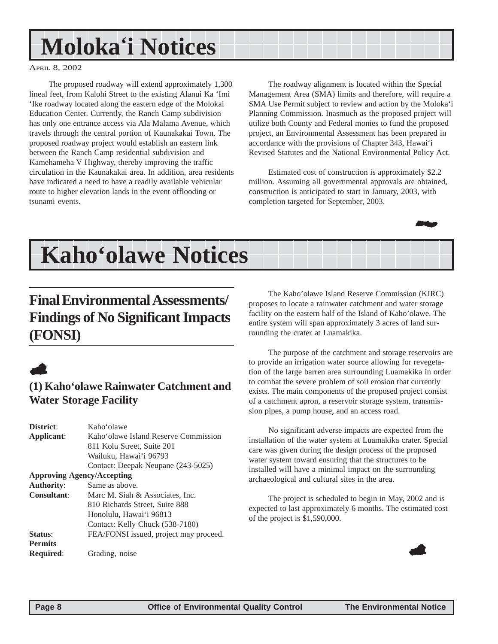## <span id="page-7-0"></span>**Moloka'i Notices**

#### APRIL 8, 2002

The proposed roadway will extend approximately 1,300 lineal feet, from Kalohi Street to the existing Alanui Ka 'Imi 'Ike roadway located along the eastern edge of the Molokai Education Center. Currently, the Ranch Camp subdivision has only one entrance access via Ala Malama Avenue, which travels through the central portion of Kaunakakai Town. The proposed roadway project would establish an eastern link between the Ranch Camp residential subdivision and Kamehameha V Highway, thereby improving the traffic circulation in the Kaunakakai area. In addition, area residents have indicated a need to have a readily available vehicular route to higher elevation lands in the event offlooding or tsunami events.

The roadway alignment is located within the Special Management Area (SMA) limits and therefore, will require a SMA Use Permit subject to review and action by the Moloka'i Planning Commission. Inasmuch as the proposed project will utilize both County and Federal monies to fund the proposed project, an Environmental Assessment has been prepared in accordance with the provisions of Chapter 343, Hawai'i Revised Statutes and the National Environmental Policy Act.

Estimated cost of construction is approximately \$2.2 million. Assuming all governmental approvals are obtained, construction is anticipated to start in January, 2003, with completion targeted for September, 2003.



## **Kaho'olawe Notices**

## **Final Environmental Assessments/ Findings of No Significant Impacts (FONSI)**



## **(1) Kaho'olawe Rainwater Catchment and Water Storage Facility**

| District:                         | Kahoʻolawe                             |
|-----------------------------------|----------------------------------------|
| Applicant:                        | Kaho'olawe Island Reserve Commission   |
|                                   | 811 Kolu Street, Suite 201             |
|                                   | Wailuku, Hawai'i 96793                 |
|                                   | Contact: Deepak Neupane (243-5025)     |
| <b>Approving Agency/Accepting</b> |                                        |
| <b>Authority:</b>                 | Same as above.                         |
| <b>Consultant:</b>                | Marc M. Siah & Associates, Inc.        |
|                                   | 810 Richards Street, Suite 888         |
|                                   | Honolulu, Hawai'i 96813                |
|                                   | Contact: Kelly Chuck (538-7180)        |
| Status:                           | FEA/FONSI issued, project may proceed. |
| <b>Permits</b>                    |                                        |
| <b>Required:</b>                  | Grading, noise                         |

The Kaho'olawe Island Reserve Commission (KIRC) proposes to locate a rainwater catchment and water storage facility on the eastern half of the Island of Kaho'olawe. The entire system will span approximately 3 acres of land surrounding the crater at Luamakika.

The purpose of the catchment and storage reservoirs are to provide an irrigation water source allowing for revegetation of the large barren area surrounding Luamakika in order to combat the severe problem of soil erosion that currently exists. The main components of the proposed project consist of a catchment apron, a reservoir storage system, transmission pipes, a pump house, and an access road.

No significant adverse impacts are expected from the installation of the water system at Luamakika crater. Special care was given during the design process of the proposed water system toward ensuring that the structures to be installed will have a minimal impact on the surrounding archaeological and cultural sites in the area.

The project is scheduled to begin in May, 2002 and is expected to last approximately 6 months. The estimated cost of the project is \$1,590,000.

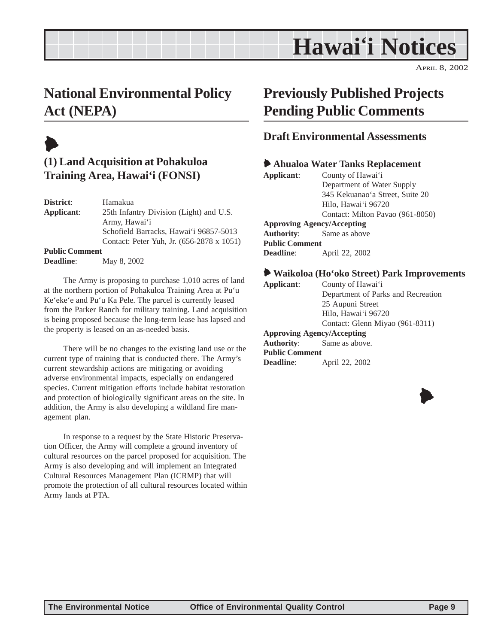## **Hawai'i Notices**

APRIL 8, 2002

## <span id="page-8-0"></span>**National Environmental Policy Act (NEPA)**

## $\blacklozenge$

## **(1) Land Acquisition at Pohakuloa Training Area, Hawai'i (FONSI)**

**District**: Hamakua **Applicant**: 25th Infantry Division (Light) and U.S. Army, Hawai'i Schofield Barracks, Hawai'i 96857-5013 Contact: Peter Yuh, Jr. (656-2878 x 1051) **Public Comment**

**Deadline**: May 8, 2002

The Army is proposing to purchase 1,010 acres of land at the northern portion of Pohakuloa Training Area at Pu'u Ke'eke'e and Pu'u Ka Pele. The parcel is currently leased from the Parker Ranch for military training. Land acquisition is being proposed because the long-term lease has lapsed and the property is leased on an as-needed basis.

There will be no changes to the existing land use or the current type of training that is conducted there. The Army's current stewardship actions are mitigating or avoiding adverse environmental impacts, especially on endangered species. Current mitigation efforts include habitat restoration and protection of biologically significant areas on the site. In addition, the Army is also developing a wildland fire management plan.

In response to a request by the State Historic Preservation Officer, the Army will complete a ground inventory of cultural resources on the parcel proposed for acquisition. The Army is also developing and will implement an Integrated Cultural Resources Management Plan (ICRMP) that will promote the protection of all cultural resources located within Army lands at PTA.

## **Previously Published Projects Pending Public Comments**

### **Draft Environmental Assessments**

#### 6 **Ahualoa Water Tanks Replacement**

| Applicant:            | County of Hawai'i                 |
|-----------------------|-----------------------------------|
|                       | Department of Water Supply        |
|                       | 345 Kekuanao'a Street, Suite 20   |
|                       | Hilo, Hawai'i 96720               |
|                       | Contact: Milton Pavao (961-8050)  |
|                       | <b>Approving Agency/Accepting</b> |
| <b>Authority:</b>     | Same as above                     |
| <b>Public Comment</b> |                                   |
| <b>Deadline:</b>      | April 22, 2002                    |
|                       |                                   |

#### 6 **Waikoloa (Ho'oko Street) Park Improvements**

| Applicant:                        | County of Hawai'i                  |
|-----------------------------------|------------------------------------|
|                                   | Department of Parks and Recreation |
|                                   | 25 Aupuni Street                   |
|                                   | Hilo, Hawai'i 96720                |
|                                   | Contact: Glenn Miyao (961-8311)    |
| <b>Approving Agency/Accepting</b> |                                    |
| <b>Authority:</b> Same as above.  |                                    |
| <b>Public Comment</b>             |                                    |
| Deadline:                         | April 22, 2002                     |
|                                   |                                    |

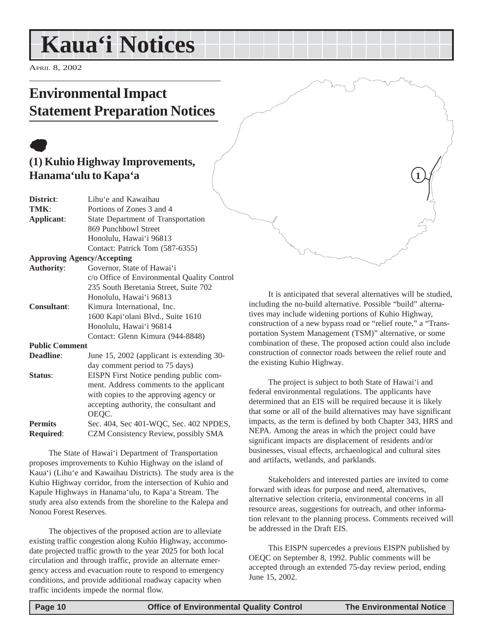## <span id="page-9-0"></span>**Kaua'i Notices**

APRIL 8, 2002

## **Environmental Impact Statement Preparation Notices**

## $\bullet$ **(1) Kuhio Highway Improvements, Hanama'ulu to Kapa'a**

| District:             | Lihu'e and Kawaihau                         |  |  |
|-----------------------|---------------------------------------------|--|--|
| TMK:                  | Portions of Zones 3 and 4                   |  |  |
| Applicant:            | State Department of Transportation          |  |  |
|                       | 869 Punchbowl Street                        |  |  |
|                       | Honolulu, Hawai'i 96813                     |  |  |
|                       | Contact: Patrick Tom (587-6355)             |  |  |
|                       | <b>Approving Agency/Accepting</b>           |  |  |
| <b>Authority:</b>     | Governor, State of Hawai'i                  |  |  |
|                       | c/o Office of Environmental Quality Control |  |  |
|                       | 235 South Beretania Street, Suite 702       |  |  |
|                       | Honolulu, Hawai'i 96813                     |  |  |
| <b>Consultant:</b>    | Kimura International, Inc.                  |  |  |
|                       | 1600 Kapi'olani Blvd., Suite 1610           |  |  |
|                       | Honolulu, Hawai'i 96814                     |  |  |
|                       | Contact: Glenn Kimura (944-8848)            |  |  |
| <b>Public Comment</b> |                                             |  |  |
| Deadline:             | June 15, 2002 (applicant is extending 30-   |  |  |
|                       | day comment period to 75 days)              |  |  |
| Status:               | EISPN First Notice pending public com-      |  |  |
|                       | ment. Address comments to the applicant     |  |  |
|                       | with copies to the approving agency or      |  |  |
|                       | accepting authority, the consultant and     |  |  |
|                       | OEOC.                                       |  |  |

Permits Sec. 404, Sec 401-WQC, Sec. 402 NPDES, **Required**: CZM Consistency Review, possibly SMA

The State of Hawai'i Department of Transportation proposes improvements to Kuhio Highway on the island of Kaua'i (Lihu'e and Kawaihau Districts). The study area is the Kuhio Highway corridor, from the intersection of Kuhio and Kapule Highways in Hanama'ulu, to Kapa'a Stream. The study area also extends from the shoreline to the Kalepa and Nonou Forest Reserves.

The objectives of the proposed action are to alleviate existing traffic congestion along Kuhio Highway, accommodate projected traffic growth to the year 2025 for both local circulation and through traffic, provide an alternate emergency access and evacuation route to respond to emergency conditions, and provide additional roadway capacity when traffic incidents impede the normal flow.

It is anticipated that several alternatives will be studied, including the no-build alternative. Possible "build" alternatives may include widening portions of Kuhio Highway, construction of a new bypass road or "relief route," a "Transportation System Management (TSM)" alternative, or some combination of these. The proposed action could also include construction of connector roads between the relief route and the existing Kuhio Highway.

**1**

The project is subject to both State of Hawai'i and federal environmental regulations. The applicants have determined that an EIS will be required because it is likely that some or all of the build alternatives may have significant impacts, as the term is defined by both Chapter 343, HRS and NEPA. Among the areas in which the project could have significant impacts are displacement of residents and/or businesses, visual effects, archaeological and cultural sites and artifacts, wetlands, and parklands.

Stakeholders and interested parties are invited to come forward with ideas for purpose and need, alternatives, alternative selection criteria, environmental concerns in all resource areas, suggestions for outreach, and other information relevant to the planning process. Comments received will be addressed in the Draft EIS.

This EISPN supercedes a previous EISPN published by OEQC on September 8, 1992. Public comments will be accepted through an extended 75-day review period, ending June 15, 2002.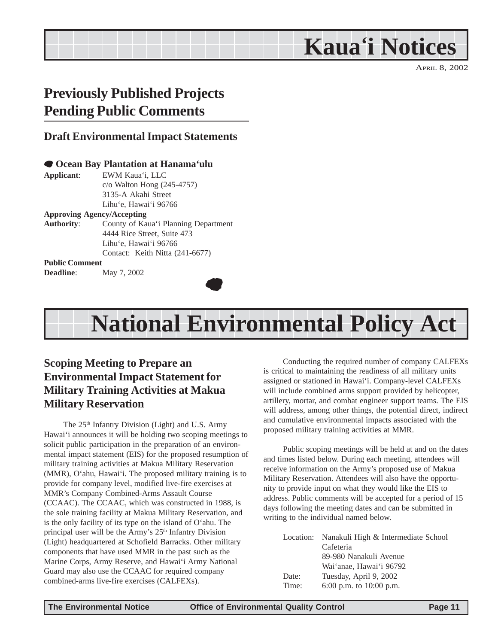**Kaua'i Notices**

## <span id="page-10-0"></span>**Previously Published Projects Pending Public Comments**

#### **Draft Environmental Impact Statements**

#### 7 **Ocean Bay Plantation at Hanama'ulu**

**Applicant**: EWM Kaua'i, LLC c/o Walton Hong (245-4757) 3135-A Akahi Street Lihu'e, Hawai'i 96766

#### **Approving Agency/Accepting**

**Authority**: County of Kaua'i Planning Department 4444 Rice Street, Suite 473 Lihu'e, Hawai'i 96766 Contact: Keith Nitta (241-6677)

#### **Public Comment**

**Deadline**: May 7, 2002



## **National Environmental Policy Act**

## **Scoping Meeting to Prepare an Environmental Impact Statement for Military Training Activities at Makua Military Reservation**

The 25<sup>th</sup> Infantry Division (Light) and U.S. Army Hawai'i announces it will be holding two scoping meetings to solicit public participation in the preparation of an environmental impact statement (EIS) for the proposed resumption of military training activities at Makua Military Reservation (MMR), O'ahu, Hawai'i. The proposed military training is to provide for company level, modified live-fire exercises at MMR's Company Combined-Arms Assault Course (CCAAC). The CCAAC, which was constructed in 1988, is the sole training facility at Makua Military Reservation, and is the only facility of its type on the island of O'ahu. The principal user will be the Army's 25<sup>th</sup> Infantry Division (Light) headquartered at Schofield Barracks. Other military components that have used MMR in the past such as the Marine Corps, Army Reserve, and Hawai'i Army National Guard may also use the CCAAC for required company combined-arms live-fire exercises (CALFEXs).

Conducting the required number of company CALFEXs is critical to maintaining the readiness of all military units assigned or stationed in Hawai'i. Company-level CALFEXs will include combined arms support provided by helicopter, artillery, mortar, and combat engineer support teams. The EIS will address, among other things, the potential direct, indirect and cumulative environmental impacts associated with the proposed military training activities at MMR.

Public scoping meetings will be held at and on the dates and times listed below. During each meeting, attendees will receive information on the Army's proposed use of Makua Military Reservation. Attendees will also have the opportunity to provide input on what they would like the EIS to address. Public comments will be accepted for a period of 15 days following the meeting dates and can be submitted in writing to the individual named below.

|       | Location: Nanakuli High & Intermediate School |
|-------|-----------------------------------------------|
|       | Cafeteria                                     |
|       | 89-980 Nanakuli Avenue                        |
|       | Wai'anae. Hawai'i 96792                       |
| Date: | Tuesday, April 9, 2002                        |
| Time: | 6:00 p.m. to $10:00$ p.m.                     |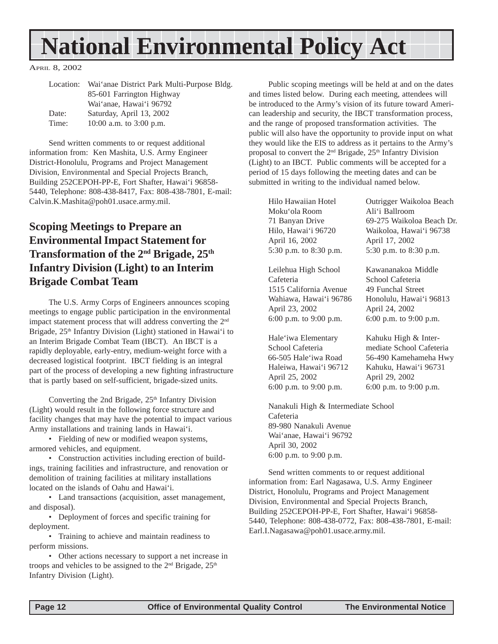## <span id="page-11-0"></span>**National Environmental Policy Act**

APRIL 8, 2002

| Location: | Wai'anae District Park Multi-Purpose Bldg. |
|-----------|--------------------------------------------|
|           | 85-601 Farrington Highway                  |
|           | Wai'anae, Hawai'i 96792                    |
| Date:     | Saturday, April 13, 2002                   |
| Time:     | 10:00 a.m. to $3:00$ p.m.                  |

Send written comments to or request additional information from: Ken Mashita, U.S. Army Engineer District-Honolulu, Programs and Project Management Division, Environmental and Special Projects Branch, Building 252CEPOH-PP-E, Fort Shafter, Hawai'i 96858- 5440, Telephone: 808-438-8417, Fax: 808-438-7801, E-mail: Calvin.K.Mashita@poh01.usace.army.mil.

## **Scoping Meetings to Prepare an Environmental Impact Statement for Transformation of the 2nd Brigade, 25th Infantry Division (Light) to an Interim Brigade Combat Team**

The U.S. Army Corps of Engineers announces scoping meetings to engage public participation in the environmental impact statement process that will address converting the 2<sup>nd</sup> Brigade, 25<sup>th</sup> Infantry Division (Light) stationed in Hawai'i to an Interim Brigade Combat Team (IBCT). An IBCT is a rapidly deployable, early-entry, medium-weight force with a decreased logistical footprint. IBCT fielding is an integral part of the process of developing a new fighting infrastructure that is partly based on self-sufficient, brigade-sized units.

Converting the 2nd Brigade,  $25<sup>th</sup>$  Infantry Division (Light) would result in the following force structure and facility changes that may have the potential to impact various Army installations and training lands in Hawai'i.

• Fielding of new or modified weapon systems, armored vehicles, and equipment.

• Construction activities including erection of buildings, training facilities and infrastructure, and renovation or demolition of training facilities at military installations located on the islands of Oahu and Hawai'i.

• Land transactions (acquisition, asset management, and disposal).

• Deployment of forces and specific training for deployment.

• Training to achieve and maintain readiness to perform missions.

• Other actions necessary to support a net increase in troops and vehicles to be assigned to the  $2<sup>nd</sup>$  Brigade,  $25<sup>th</sup>$ Infantry Division (Light).

Public scoping meetings will be held at and on the dates and times listed below. During each meeting, attendees will be introduced to the Army's vision of its future toward American leadership and security, the IBCT transformation process, and the range of proposed transformation activities. The public will also have the opportunity to provide input on what they would like the EIS to address as it pertains to the Army's proposal to convert the  $2<sup>nd</sup>$  Brigade,  $25<sup>th</sup>$  Infantry Division (Light) to an IBCT. Public comments will be accepted for a period of 15 days following the meeting dates and can be submitted in writing to the individual named below.

Moku'ola Room Ali'i Ballroom April 16, 2002 April 17, 2002 5:30 p.m. to 8:30 p.m. 5:30 p.m. to 8:30 p.m.

Leilehua High School Kawananakoa Middle Cafeteria School Cafeteria 1515 California Avenue 49 Funchal Street April 23, 2002 April 24, 2002 6:00 p.m. to 9:00 p.m. 6:00 p.m. to 9:00 p.m.

Hale'iwa Elementary Kahuku High & Inter- April 25, 2002 April 29, 2002

Hilo Hawaiian Hotel Outrigger Waikoloa Beach 71 Banyan Drive 69-275 Waikoloa Beach Dr. Hilo, Hawai'i 96720 Waikoloa, Hawai'i 96738

Wahiawa, Hawai'i 96786 Honolulu, Hawai'i 96813

 School Cafeteria mediate School Cafeteria 66-505 Hale'iwa Road 56-490 Kamehameha Hwy Haleiwa, Hawai'i 96712 Kahuku, Hawai'i 96731 6:00 p.m. to 9:00 p.m. 6:00 p.m. to 9:00 p.m.

Nanakuli High & Intermediate School Cafeteria 89-980 Nanakuli Avenue Wai'anae, Hawai'i 96792 April 30, 2002 6:00 p.m. to 9:00 p.m.

Send written comments to or request additional information from: Earl Nagasawa, U.S. Army Engineer District, Honolulu, Programs and Project Management Division, Environmental and Special Projects Branch, Building 252CEPOH-PP-E, Fort Shafter, Hawai'i 96858- 5440, Telephone: 808-438-0772, Fax: 808-438-7801, E-mail: Earl.I.Nagasawa@poh01.usace.army.mil.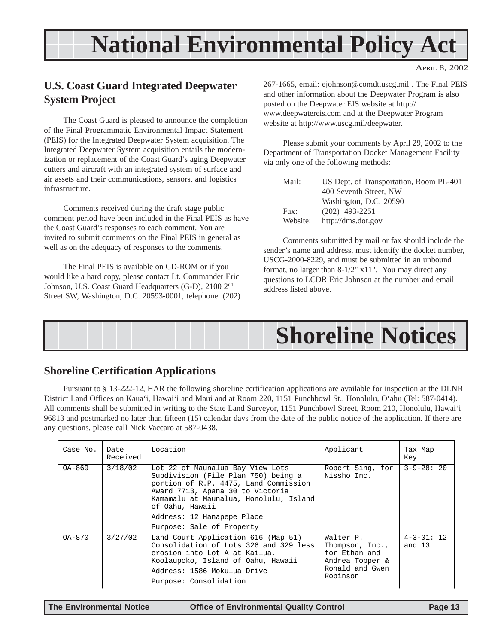## **National Environmental Policy Act**

APRIL 8, 2002

## <span id="page-12-0"></span>**U.S. Coast Guard Integrated Deepwater System Project**

The Coast Guard is pleased to announce the completion of the Final Programmatic Environmental Impact Statement (PEIS) for the Integrated Deepwater System acquisition. The Integrated Deepwater System acquisition entails the modernization or replacement of the Coast Guard's aging Deepwater cutters and aircraft with an integrated system of surface and air assets and their communications, sensors, and logistics infrastructure.

Comments received during the draft stage public comment period have been included in the Final PEIS as have the Coast Guard's responses to each comment. You are invited to submit comments on the Final PEIS in general as well as on the adequacy of responses to the comments.

The Final PEIS is available on CD-ROM or if you would like a hard copy, please contact Lt. Commander Eric Johnson, U.S. Coast Guard Headquarters (G-D), 2100 2nd Street SW, Washington, D.C. 20593-0001, telephone: (202) 267-1665, email: ejohnson@comdt.uscg.mil . The Final PEIS and other information about the Deepwater Program is also posted on the Deepwater EIS website at http:// www.deepwatereis.com and at the Deepwater Program website at http://www.uscg.mil/deepwater.

Please submit your comments by April 29, 2002 to the Department of Transportation Docket Management Facility via only one of the following methods:

| Mail:    | US Dept. of Transportation, Room PL-401 |
|----------|-----------------------------------------|
|          | 400 Seventh Street, NW                  |
|          | Washington, D.C. 20590                  |
| Fax:     | $(202)$ 493-2251                        |
| Website: | http://dms.dot.gov                      |

Comments submitted by mail or fax should include the sender's name and address, must identify the docket number, USCG-2000-8229, and must be submitted in an unbound format, no larger than 8-1/2" x11". You may direct any questions to LCDR Eric Johnson at the number and email address listed above.

## **Shoreline Notices**

## **Shoreline Certification Applications**

Pursuant to § 13-222-12, HAR the following shoreline certification applications are available for inspection at the DLNR District Land Offices on Kaua'i, Hawai'i and Maui and at Room 220, 1151 Punchbowl St., Honolulu, O'ahu (Tel: 587-0414). All comments shall be submitted in writing to the State Land Surveyor, 1151 Punchbowl Street, Room 210, Honolulu, Hawai'i 96813 and postmarked no later than fifteen (15) calendar days from the date of the public notice of the application. If there are any questions, please call Nick Vaccaro at 587-0438.

| Case No.   | Date<br>Received | Location                                                                                                                                                                                                                                                                     | Applicant                                                                                       | Tax Map<br>Key            |
|------------|------------------|------------------------------------------------------------------------------------------------------------------------------------------------------------------------------------------------------------------------------------------------------------------------------|-------------------------------------------------------------------------------------------------|---------------------------|
| OA-869     | 3/18/02          | Lot 22 of Maunalua Bay View Lots<br>Subdivision (File Plan 750) being a<br>portion of R.P. 4475, Land Commission<br>Award 7713, Apana 30 to Victoria<br>Kamamalu at Maunalua, Honolulu, Island<br>of Oahu, Hawaii<br>Address: 12 Hanapepe Place<br>Purpose: Sale of Property | Robert Sing, for<br>Nissho Inc.                                                                 | $3 - 9 - 28:20$           |
| $OA - 870$ | 3/27/02          | Land Court Application 616 (Map 51)<br>Consolidation of Lots 326 and 329 less<br>erosion into Lot A at Kailua,<br>Koolaupoko, Island of Oahu, Hawaii<br>Address: 1586 Mokulua Drive<br>Purpose: Consolidation                                                                | Walter P.<br>Thompson, Inc.,<br>for Ethan and<br>Andrea Topper &<br>Ronald and Gwen<br>Robinson | $4 - 3 - 01:12$<br>and 13 |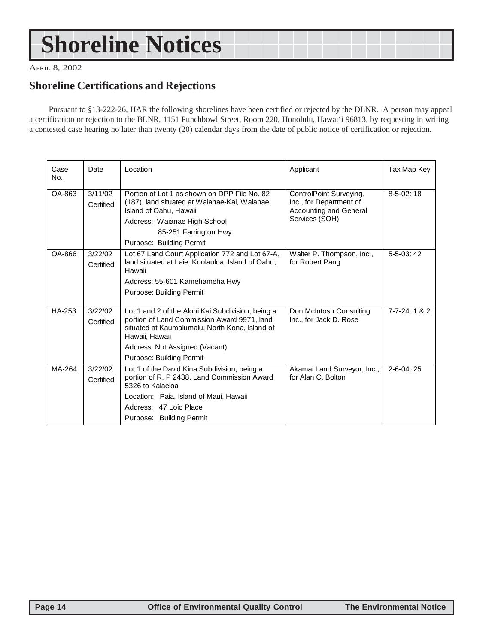## <span id="page-13-0"></span>**Shoreline Notices**

APRIL 8, 2002

### **Shoreline Certifications and Rejections**

Pursuant to §13-222-26, HAR the following shorelines have been certified or rejected by the DLNR. A person may appeal a certification or rejection to the BLNR, 1151 Punchbowl Street, Room 220, Honolulu, Hawai'i 96813, by requesting in writing a contested case hearing no later than twenty (20) calendar days from the date of public notice of certification or rejection.

| Case<br>No. | Date                 | Location                                                                                                                                                                                                                           | Applicant                                                                                             | Tax Map Key          |
|-------------|----------------------|------------------------------------------------------------------------------------------------------------------------------------------------------------------------------------------------------------------------------------|-------------------------------------------------------------------------------------------------------|----------------------|
| OA-863      | 3/11/02<br>Certified | Portion of Lot 1 as shown on DPP File No. 82<br>(187), land situated at Waianae-Kai, Waianae,<br>Island of Oahu, Hawaii<br>Address: Waianae High School<br>85-251 Farrington Hwy<br>Purpose: Building Permit                       | ControlPoint Surveying,<br>Inc., for Department of<br><b>Accounting and General</b><br>Services (SOH) | $8-5-02:18$          |
| OA-866      | 3/22/02<br>Certified | Lot 67 Land Court Application 772 and Lot 67-A,<br>land situated at Laie, Koolauloa, Island of Oahu,<br>Hawaii<br>Address: 55-601 Kamehameha Hwy<br>Purpose: Building Permit                                                       | Walter P. Thompson, Inc.,<br>for Robert Pang                                                          | $5-5-03:42$          |
| HA-253      | 3/22/02<br>Certified | Lot 1 and 2 of the Alohi Kai Subdivision, being a<br>portion of Land Commission Award 9971, land<br>situated at Kaumalumalu, North Kona, Island of<br>Hawaii, Hawaii<br>Address: Not Assigned (Vacant)<br>Purpose: Building Permit | Don McIntosh Consulting<br>Inc., for Jack D. Rose                                                     | $7 - 7 - 24$ : 1 & 2 |
| MA-264      | 3/22/02<br>Certified | Lot 1 of the David Kina Subdivision, being a<br>portion of R. P 2438, Land Commission Award<br>5326 to Kalaeloa<br>Location: Paia, Island of Maui, Hawaii<br>Address: 47 Loio Place<br>Purpose: Building Permit                    | Akamai Land Surveyor, Inc.,<br>for Alan C. Bolton                                                     | $2 - 6 - 04:25$      |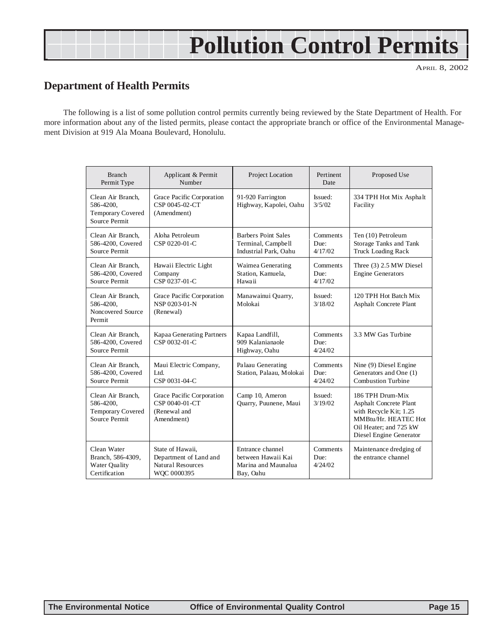## **Pollution Control Permits**

APRIL 8, 2002

### **Department of Health Permits**

The following is a list of some pollution control permits currently being reviewed by the State Department of Health. For more information about any of the listed permits, please contact the appropriate branch or office of the Environmental Management Division at 919 Ala Moana Boulevard, Honolulu.

| <b>Branch</b><br>Permit Type                                                | Applicant & Permit<br>Number                                                   | Project Location                                                           | Pertinent<br>Date                  | Proposed Use                                                                                                                                      |
|-----------------------------------------------------------------------------|--------------------------------------------------------------------------------|----------------------------------------------------------------------------|------------------------------------|---------------------------------------------------------------------------------------------------------------------------------------------------|
| Clean Air Branch.<br>586-4200,<br><b>Temporary Covered</b><br>Source Permit | Grace Pacific Corporation<br>CSP 0045-02-CT<br>(Amendment)                     | 91-920 Farrington<br>Highway, Kapolei, Oahu                                | Issued:<br>3/5/02                  | 334 TPH Hot Mix Asphalt<br>Facility                                                                                                               |
| Clean Air Branch,<br>586-4200, Covered<br>Source Permit                     | Aloha Petroleum<br>CSP 0220-01-C                                               | Barbers Point Sales<br>Terminal, Campbell<br>Industrial Park, Oahu         | <b>Comments</b><br>Due:<br>4/17/02 | Ten (10) Petroleum<br>Storage Tanks and Tank<br><b>Truck Loading Rack</b>                                                                         |
| Clean Air Branch,<br>586-4200, Covered<br>Source Permit                     | Hawaii Electric Light<br>Company<br>CSP 0237-01-C                              | Waimea Generating<br>Station, Kamuela.<br>Hawaii                           | Comments<br>Due:<br>4/17/02        | Three (3) 2.5 MW Diesel<br><b>Engine Generators</b>                                                                                               |
| Clean Air Branch,<br>586-4200,<br>Noncovered Source<br>Permit               | Grace Pacific Corporation<br>NSP 0203-01-N<br>(Renewal)                        | Manawainui Quarry,<br>Molokai                                              | Issued:<br>3/18/02                 | 120 TPH Hot Batch Mix<br>Asphalt Concrete Plant                                                                                                   |
| Clean Air Branch.<br>586-4200, Covered<br>Source Permit                     | Kapaa Generating Partners<br>CSP 0032-01-C                                     | Kapaa Landfill,<br>909 Kalanianaole<br>Highway, Oahu                       | Comments<br>Due:<br>4/24/02        | 3.3 MW Gas Turbine                                                                                                                                |
| Clean Air Branch,<br>586-4200, Covered<br>Source Permit                     | Maui Electric Company,<br>Ltd.<br>CSP 0031-04-C                                | Palaau Generating<br>Station, Palaau, Molokai                              | Comments<br>Due:<br>4/24/02        | Nine (9) Diesel Engine<br>Generators and One (1)<br><b>Combustion Turbine</b>                                                                     |
| Clean Air Branch,<br>586-4200,<br>Temporary Covered<br>Source Permit        | Grace Pacific Corporation<br>CSP 0040-01-CT<br>(Renewal and<br>Amendment)      | Camp 10, Ameron<br>Quarry, Puunene, Maui                                   | Issued:<br>3/19/02                 | 186 TPH Drum-Mix<br>Asphalt Concrete Plant<br>with Recycle Kit; 1.25<br>MMBtu/Hr. HEATEC Hot<br>Oil Heater: and 725 kW<br>Diesel Engine Generator |
| Clean Water<br>Branch, 586-4309,<br><b>Water Quality</b><br>Certification   | State of Hawaii,<br>Department of Land and<br>Natural Resources<br>WQC 0000395 | Entrance channel<br>between Hawaii Kai<br>Marina and Maunalua<br>Bay, Oahu | Comments<br>Due:<br>4/24/02        | Maintenance dredging of<br>the entrance channel                                                                                                   |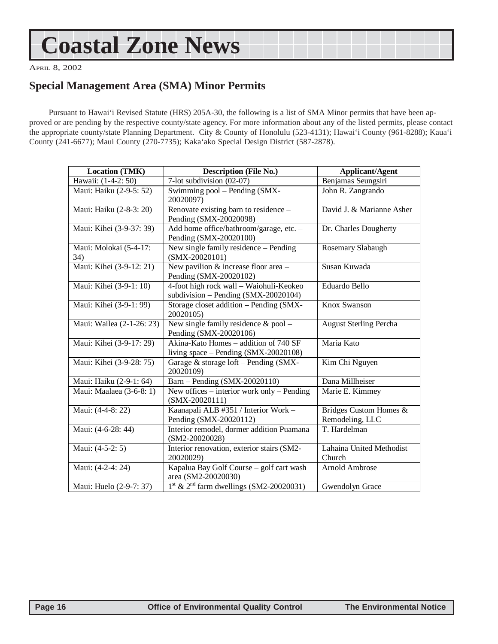## <span id="page-15-0"></span>**Coastal Zone News**

APRIL 8, 2002

### **Special Management Area (SMA) Minor Permits**

Pursuant to Hawai'i Revised Statute (HRS) 205A-30, the following is a list of SMA Minor permits that have been approved or are pending by the respective county/state agency. For more information about any of the listed permits, please contact the appropriate county/state Planning Department. City & County of Honolulu (523-4131); Hawai'i County (961-8288); Kaua'i County (241-6677); Maui County (270-7735); Kaka'ako Special Design District (587-2878).

| Location (TMK)                | <b>Description (File No.)</b>                                                   | <b>Applicant/Agent</b>                    |
|-------------------------------|---------------------------------------------------------------------------------|-------------------------------------------|
| Hawaii: (1-4-2: 50)           | 7-lot subdivision (02-07)                                                       | Benjamas Seungsiri                        |
| Maui: Haiku (2-9-5: 52)       | Swimming pool - Pending (SMX-<br>20020097)                                      | John R. Zangrando                         |
| Maui: Haiku (2-8-3: 20)       | Renovate existing barn to residence -<br>Pending (SMX-20020098)                 | David J. & Marianne Asher                 |
| Maui: Kihei (3-9-37: 39)      | Add home office/bathroom/garage, etc. -<br>Pending (SMX-20020100)               | Dr. Charles Dougherty                     |
| Maui: Molokai (5-4-17:<br>34) | New single family residence – Pending<br>$(SMX-20020101)$                       | Rosemary Slabaugh                         |
| Maui: Kihei (3-9-12: 21)      | New pavilion $&$ increase floor area -<br>Pending (SMX-20020102)                | Susan Kuwada                              |
| Maui: Kihei (3-9-1: 10)       | 4-foot high rock wall - Waiohuli-Keokeo<br>subdivision - Pending (SMX-20020104) | Eduardo Bello                             |
| Maui: Kihei (3-9-1: 99)       | Storage closet addition - Pending (SMX-<br>20020105)                            | Knox Swanson                              |
| Maui: Wailea (2-1-26: 23)     | New single family residence & pool -<br>Pending (SMX-20020106)                  | <b>August Sterling Percha</b>             |
| Maui: Kihei (3-9-17: 29)      | Akina-Kato Homes - addition of 740 SF<br>living $space - Pending(SMX-20020108)$ | Maria Kato                                |
| Maui: Kihei (3-9-28: 75)      | Garage & storage loft - Pending (SMX-<br>20020109)                              | Kim Chi Nguyen                            |
| Maui: Haiku (2-9-1: 64)       | Barn - Pending (SMX-20020110)                                                   | Dana Millheiser                           |
| Maui: Maalaea (3-6-8: 1)      | New offices – interior work only – Pending<br>$(SMX-20020111)$                  | Marie E. Kimmey                           |
| Maui: (4-4-8: 22)             | Kaanapali ALB #351 / Interior Work -<br>Pending (SMX-20020112)                  | Bridges Custom Homes &<br>Remodeling, LLC |
| Maui: (4-6-28: 44)            | Interior remodel, dormer addition Puamana<br>$(SM2-20020028)$                   | T. Hardelman                              |
| Maui: (4-5-2: 5)              | Interior renovation, exterior stairs (SM2-<br>20020029)                         | Lahaina United Methodist<br>Church        |
| Maui: (4-2-4: 24)             | Kapalua Bay Golf Course - golf cart wash<br>area (SM2-20020030)                 | Arnold Ambrose                            |
| Maui: Huelo (2-9-7: 37)       | $1st$ & $2nd$ farm dwellings (SM2-20020031)                                     | Gwendolyn Grace                           |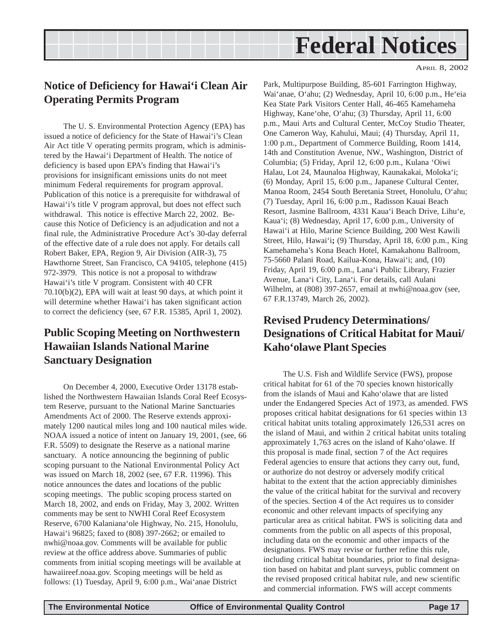## **Federal Notices**

## <span id="page-16-0"></span>**Notice of Deficiency for Hawai'i Clean Air Operating Permits Program**

The U. S. Environmental Protection Agency (EPA) has issued a notice of deficiency for the State of Hawai'i's Clean Air Act title V operating permits program, which is administered by the Hawai'i Department of Health. The notice of deficiency is based upon EPA's finding that Hawai'i's provisions for insignificant emissions units do not meet minimum Federal requirements for program approval. Publication of this notice is a prerequisite for withdrawal of Hawai'i's title V program approval, but does not effect such withdrawal. This notice is effective March 22, 2002. Because this Notice of Deficiency is an adjudication and not a final rule, the Administrative Procedure Act's 30-day deferral of the effective date of a rule does not apply. For details call Robert Baker, EPA, Region 9, Air Division (AIR-3), 75 Hawthorne Street, San Francisco, CA 94105, telephone (415) 972-3979. This notice is not a proposal to withdraw Hawai'i's title V program. Consistent with 40 CFR 70.10(b)(2), EPA will wait at least 90 days, at which point it will determine whether Hawai'i has taken significant action to correct the deficiency (see, 67 F.R. 15385, April 1, 2002).

### **Public Scoping Meeting on Northwestern Hawaiian Islands National Marine Sanctuary Designation**

On December 4, 2000, Executive Order 13178 established the Northwestern Hawaiian Islands Coral Reef Ecosystem Reserve, pursuant to the National Marine Sanctuaries Amendments Act of 2000. The Reserve extends approximately 1200 nautical miles long and 100 nautical miles wide. NOAA issued a notice of intent on January 19, 2001, (see, 66 F.R. 5509) to designate the Reserve as a national marine sanctuary. A notice announcing the beginning of public scoping pursuant to the National Environmental Policy Act was issued on March 18, 2002 (see, 67 F.R. 11996). This notice announces the dates and locations of the public scoping meetings. The public scoping process started on March 18, 2002, and ends on Friday, May 3, 2002. Written comments may be sent to NWHI Coral Reef Ecosystem Reserve, 6700 Kalaniana'ole Highway, No. 215, Honolulu, Hawai'i 96825; faxed to (808) 397-2662; or emailed to nwhi@noaa.gov. Comments will be available for public review at the office address above. Summaries of public comments from initial scoping meetings will be available at hawaiireef.noaa.gov. Scoping meetings will be held as follows: (1) Tuesday, April 9, 6:00 p.m., Wai'anae District

Park, Multipurpose Building, 85-601 Farrington Highway, Wai'anae, O'ahu; (2) Wednesday, April 10, 6:00 p.m., He'eia Kea State Park Visitors Center Hall, 46-465 Kamehameha Highway, Kane'ohe, O'ahu; (3) Thursday, April 11, 6:00 p.m., Maui Arts and Cultural Center, McCoy Studio Theater, One Cameron Way, Kahului, Maui; (4) Thursday, April 11, 1:00 p.m., Department of Commerce Building, Room 1414, 14th and Constitution Avenue, NW., Washington, District of Columbia; (5) Friday, April 12, 6:00 p.m., Kulana 'Oiwi Halau, Lot 24, Maunaloa Highway, Kaunakakai, Moloka'i; (6) Monday, April 15, 6:00 p.m., Japanese Cultural Center, Manoa Room, 2454 South Beretania Street, Honolulu, O'ahu; (7) Tuesday, April 16, 6:00 p.m., Radisson Kauai Beach Resort, Jasmine Ballroom, 4331 Kaua'i Beach Drive, Lihu'e, Kaua'i; (8) Wednesday, April 17, 6:00 p.m., University of Hawai'i at Hilo, Marine Science Building, 200 West Kawili Street, Hilo, Hawai'i**;** (9) Thursday, April 18, 6:00 p.m., King Kamehameha's Kona Beach Hotel, Kamakahonu Ballroom, 75-5660 Palani Road, Kailua-Kona, Hawai'i; and, (10) Friday, April 19, 6:00 p.m., Lana'i Public Library, Frazier Avenue, Lana'i City, Lana'i. For details, call Aulani Wilhelm, at (808) 397-2657, email at nwhi@noaa.gov (see, 67 F.R.13749, March 26, 2002).

## **Revised Prudency Determinations/ Designations of Critical Habitat for Maui/ Kaho'olawe Plant Species**

The U.S. Fish and Wildlife Service (FWS), propose critical habitat for 61 of the 70 species known historically from the islands of Maui and Kaho'olawe that are listed under the Endangered Species Act of 1973, as amended. FWS proposes critical habitat designations for 61 species within 13 critical habitat units totaling approximately 126,531 acres on the island of Maui, and within 2 critical habitat units totaling approximately 1,763 acres on the island of Kaho'olawe. If this proposal is made final, section 7 of the Act requires Federal agencies to ensure that actions they carry out, fund, or authorize do not destroy or adversely modify critical habitat to the extent that the action appreciably diminishes the value of the critical habitat for the survival and recovery of the species. Section 4 of the Act requires us to consider economic and other relevant impacts of specifying any particular area as critical habitat. FWS is soliciting data and comments from the public on all aspects of this proposal, including data on the economic and other impacts of the designations. FWS may revise or further refine this rule, including critical habitat boundaries, prior to final designation based on habitat and plant surveys, public comment on the revised proposed critical habitat rule, and new scientific and commercial information. FWS will accept comments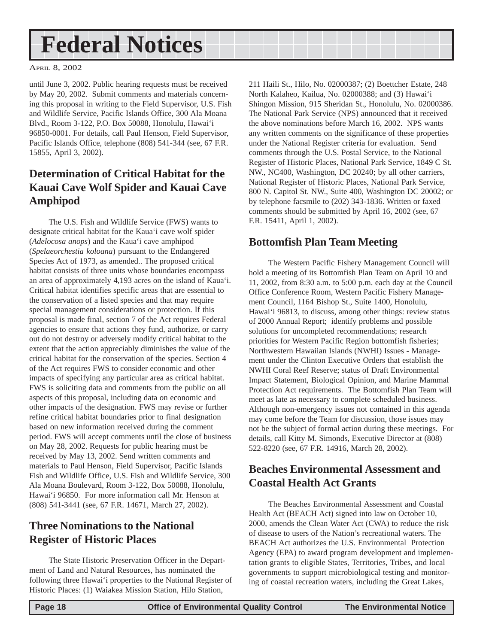## <span id="page-17-0"></span>**Federal Notices**

APRIL 8, 2002

until June 3, 2002. Public hearing requests must be received by May 20, 2002. Submit comments and materials concerning this proposal in writing to the Field Supervisor, U.S. Fish and Wildlife Service, Pacific Islands Office, 300 Ala Moana Blvd., Room 3-122, P.O. Box 50088, Honolulu, Hawai'i 96850-0001. For details, call Paul Henson, Field Supervisor, Pacific Islands Office, telephone (808) 541-344 (see, 67 F.R. 15855, April 3, 2002).

## **Determination of Critical Habitat for the Kauai Cave Wolf Spider and Kauai Cave Amphipod**

The U.S. Fish and Wildlife Service (FWS) wants to designate critical habitat for the Kaua'i cave wolf spider (*Adelocosa anops*) and the Kaua'i cave amphipod (*Spelaeorchestia koloana*) pursuant to the Endangered Species Act of 1973, as amended.. The proposed critical habitat consists of three units whose boundaries encompass an area of approximately 4,193 acres on the island of Kaua'i. Critical habitat identifies specific areas that are essential to the conservation of a listed species and that may require special management considerations or protection. If this proposal is made final, section 7 of the Act requires Federal agencies to ensure that actions they fund, authorize, or carry out do not destroy or adversely modify critical habitat to the extent that the action appreciably diminishes the value of the critical habitat for the conservation of the species. Section 4 of the Act requires FWS to consider economic and other impacts of specifying any particular area as critical habitat. FWS is soliciting data and comments from the public on all aspects of this proposal, including data on economic and other impacts of the designation. FWS may revise or further refine critical habitat boundaries prior to final designation based on new information received during the comment period. FWS will accept comments until the close of business on May 28, 2002. Requests for public hearing must be received by May 13, 2002. Send written comments and materials to Paul Henson, Field Supervisor, Pacific Islands Fish and Wildlife Office, U.S. Fish and Wildlife Service, 300 Ala Moana Boulevard, Room 3-122, Box 50088, Honolulu, Hawai'i 96850. For more information call Mr. Henson at (808) 541-3441 (see, 67 F.R. 14671, March 27, 2002).

## **Three Nominations to the National Register of Historic Places**

The State Historic Preservation Officer in the Department of Land and Natural Resources, has nominated the following three Hawai'i properties to the National Register of Historic Places: (1) Waiakea Mission Station, Hilo Station,

211 Haili St., Hilo, No. 02000387; (2) Boettcher Estate, 248 North Kalaheo, Kailua, No. 02000388; and (3) Hawai'i Shingon Mission, 915 Sheridan St., Honolulu, No. 02000386. The National Park Service (NPS) announced that it received the above nominations before March 16, 2002. NPS wants any written comments on the significance of these properties under the National Register criteria for evaluation. Send comments through the U.S. Postal Service, to the National Register of Historic Places, National Park Service, 1849 C St. NW., NC400, Washington, DC 20240; by all other carriers, National Register of Historic Places, National Park Service, 800 N. Capitol St. NW., Suite 400, Washington DC 20002; or by telephone facsmile to (202) 343-1836. Written or faxed comments should be submitted by April 16, 2002 (see, 67 F.R. 15411, April 1, 2002).

### **Bottomfish Plan Team Meeting**

The Western Pacific Fishery Management Council will hold a meeting of its Bottomfish Plan Team on April 10 and 11, 2002, from 8:30 a.m. to 5:00 p.m. each day at the Council Office Conference Room, Western Pacific Fishery Management Council, 1164 Bishop St., Suite 1400, Honolulu, Hawai'i 96813, to discuss, among other things: review status of 2000 Annual Report; identify problems and possible solutions for uncompleted recommendations; research priorities for Western Pacific Region bottomfish fisheries; Northwestern Hawaiian Islands (NWHI) Issues - Management under the Clinton Executive Orders that establish the NWHI Coral Reef Reserve; status of Draft Environmental Impact Statement, Biological Opinion, and Marine Mammal Protection Act requirements. The Bottomfish Plan Team will meet as late as necessary to complete scheduled business. Although non-emergency issues not contained in this agenda may come before the Team for discussion, those issues may not be the subject of formal action during these meetings. For details, call Kitty M. Simonds, Executive Director at (808) 522-8220 (see, 67 F.R. 14916, March 28, 2002).

### **Beaches Environmental Assessment and Coastal Health Act Grants**

The Beaches Environmental Assessment and Coastal Health Act (BEACH Act) signed into law on October 10, 2000, amends the Clean Water Act (CWA) to reduce the risk of disease to users of the Nation's recreational waters. The BEACH Act authorizes the U.S. Environmental Protection Agency (EPA) to award program development and implementation grants to eligible States, Territories, Tribes, and local governments to support microbiological testing and monitoring of coastal recreation waters, including the Great Lakes,